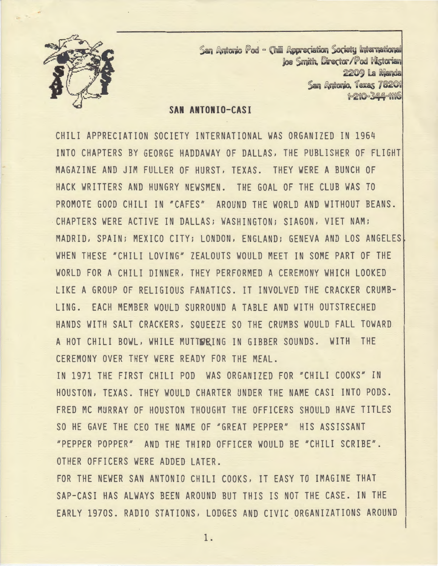

San Antonio Pod - (hill Appreciation Society International  $\log$  Smith. Director/Pod Historian 2209 La Manda San Antonio, *Texas 78201* ~=~~@=~=~~~~

### **SAN ANTONIO-CASI**

CHILI APPRECIATION SOCIETY INTERNATIONAL WAS ORGANIZED IN 1964 INTO CHAPTERS BY GEORGE HADDAWAY OF DALLAS, THE PUBLISHER OF FLIGHT MAGAZINE AND JIM FULLER OF HURST, TEXAS. THEY WERE A BUNCH OF HACK WRITTERS AND HUNGRY NEWSMEN. THE GOAL OF THE CLUB WAS TO PROMOTE GOOD CHILI IN "CAFES" AROUND THE WORLD AND WITHOUT BEANS. CHAPTERS WERE ACTIVE IN DALLAS; WASHINGTON; SIAGON, VIET NAM; MADRID, SPAIN; MEXICO CITY; LONDON, ENGLAND; GENEVA AND LOS ANGELES! WHEN THESE "CHILI LOVING" ZEALOUTS WOULD MEET IN SOME PART OF THE WORLD FOR A CHILI DINNER, THEY PERFORMED A CEREMONY WHICH LOOKED LIKE A GROUP OF RELIGIOUS FANATICS. IT INVOLVED THE CRACKER CRUMB-LING. EACH MEMBER WOULD SURROUND A TABLE AND WITH OUTSTRECHED HANDS WITH SALT CRACKERS, SQUEEZE SO THE CRUMBS WOULD FALL TOWARD A HOT CHILI BOWL, WHILE MUTTWRING IN GIBBER SOUNDS. WITH THE CEREMONY OVER THEY WERE READY FOR THE MEAL.

IN 1971 THE FIRST CHILI POD WAS ORGANIZED FOR "CHILI COOKS" IN HOUSTON, TEXAS. THEY WOULD CHARTER UNDER THE NAME CASI INTO PODS. FRED MC MURRAY OF HOUSTON THOUGHT THE OFFICERS SHOULD HAVE TITLES SO HE GAVE THE CEO THE NAME OF "GREAT PEPPER" HIS ASSISSANT "PEPPER POPPER" AND THE THIRD OFFICER WOULD BE "CHILI SCRIBE". OTHER OFFICERS WERE ADDED LATER.

FOR THE NEWER SAN ANTONIO CHILI COOKS, IT EASY TO IMAGINE THAT SAP-CASI HAS ALWAYS BEEN AROUND BUT THIS IS NOT THE CASE. IN THE EARLY 197OS. RADIO STATIONS, LODGES AND CIVIC ORGANIZATIONS AROUND

1 .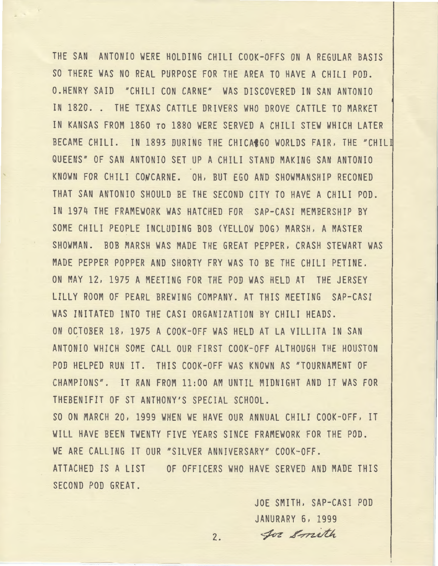THE SAN ANTONIO WERE HOLDING CHILI COOK-OFFS ON A REGULAR BASIS SO THERE WAS NO REAL PURPOSE FOR THE AREA TO HAVE A CHILI POD. O.HENRY SAID "CHILI CON CARNE" WAS DISCOVERED IN SAN ANTONIO IN 1820. . THE TEXAS CATTLE DRIVERS WHO DROVE CATTLE TO MARKET IN KANSAS FROM 1860 ro 1880 WERE SERVED A CHILI STEW WHICH LATER BECAME CHILI. IN 1893 DURING THE CHICACGO WORLDS FAIR, THE "CHILI QUEENS" OF SAN ANTONIO SET UP A CHILI STAND MAKING SAN ANTONIO KNOWN FOR CHILI CONCARNE. OH, BUT EGO AND SHOWMANSHIP RECONED THAT SAN ANTONIO SHOULD BE THE SECOND CITY TO HAVE A CHILI POD. IN 1974 THE FRAMEWORK WAS HATCHED FOR SAP-CASI MEMBERSHIP BY SOME CHILI PEOPLE INCLUDING BOB (YELLOW DOG) MARSH, A MASTER SHOWMAN. BOB MARSH WAS MADE THE GREAT PEPPER, CRASH STEWART WAS MADE PEPPER POPPER AND SHORTY FRY WAS TO BE THE CHILI PETINE. ON MAY 12, 1975 A MEETING FOR THE POD WAS HELD AT THE JERSEY LILLY ROOM OF PEARL BREWING COMPANY. AT THIS MEETING SAP-CASI WAS INITATED INTO THE CASI ORGANIZATION BY CHILI HEADS. ON OCTOBER 18, 1975 A COOK-OFF WAS HELD AT LA VILLITA IN SAN ANTONIO WHICH SOME CALL OUR FIRST COOK-OFF ALTHOUGH THE HOUSTON POD HELPED RUN IT. THIS COOK-OFF WAS KNOWN AS "TOURNAMENT OF CHAMPIONS". IT RAN FROM 11:00 AM UNTIL MIDNIGHT AND IT WAS FOR THEBENIFIT OF ST ANTHONY'S SPECIAL SCHOOL. SO ON MARCH 20, 1999 WHEN WE HAVE OUR ANNUAL CHILI COOK-OFF, IT WILL HAVE BEEN TWENTY FIVE YEARS SINCE FRAMEWORK FOR THE POD. WE ARE CALLING IT OUR "SILVER ANNIVERSARY" COOK-OFF.

ATTACHED IS A LIST OF OFFICERS WHO HAVE SERVED AND MADE THIS SECOND POD GREAT.

> JOE SMITH, SAP-CASI POD JANURARY 6, 1999 2. for Smith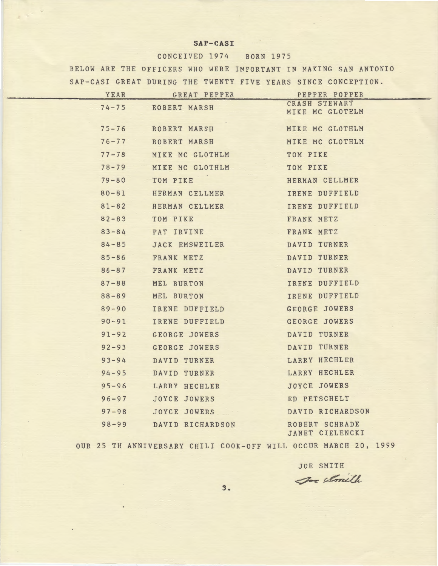#### **SAP-CASI**

#### CONCEIVED 1974 BORN 1975

BELOW ARE THE OFFICERS WHO WERE IMPORTANT IN MAKING SAN ANTONIO SAP-CASI GREAT DURING THE TWENTY FIVE YEARS SINCE CONCEPTION.

| YEAR      | GREAT PEPPER     | PEPPER POPPER                     |
|-----------|------------------|-----------------------------------|
| $74 - 75$ | ROBERT MARSH     | CRASH STEWART<br>MIKE MC GLOTHLM  |
| $75 - 76$ | ROBERT MARSH     | MIKE MC GLOTHLM                   |
| $76 - 77$ | ROBERT MARSH     | MIKE MC GLOTHLM                   |
| $77 - 78$ | MIKE MC GLOTHLM  | TOM PIKE                          |
| $78 - 79$ | MIKE MC GLOTHLM  | TOM PIKE                          |
| $79 - 80$ | TOM PIKE         | HERMAN CELLMER                    |
| $80 - 81$ | HERMAN CELLMER   | IRENE DUFFIELD                    |
| $81 - 82$ | HERMAN CELLMER   | IRENE DUFFIELD                    |
| $82 - 83$ | TOM PIKE         | FRANK METZ                        |
| $83 - 84$ | PAT IRVINE       | FRANK METZ                        |
| $84 - 85$ | JACK EMSWEILER   | DAVID TURNER                      |
| $85 - 86$ | FRANK METZ       | DAVID TURNER                      |
| $86 - 87$ | FRANK METZ       | DAVID TURNER                      |
| $87 - 88$ | MEL BURTON       | IRENE DUFFIELD                    |
| $88 - 89$ | MEL BURTON       | IRENE DUFFIELD                    |
| $89 - 90$ | IRENE DUFFIELD   | GEORGE JOWERS                     |
| $90 - 91$ | IRENE DUFFIELD   | GEORGE JOWERS                     |
| $91 - 92$ | GEORGE JOWERS    | DAVID TURNER                      |
| $92 - 93$ | GEORGE JOWERS    | DAVID TURNER                      |
| $93 - 94$ | DAVID TURNER     | LARRY HECHLER                     |
| $94 - 95$ | DAVID TURNER     | LARRY HECHLER                     |
| $95 - 96$ | LARRY HECHLER    | <b>JOYCE JOWERS</b>               |
| $96 - 97$ | JOYCE JOWERS     | ED PETSCHELT                      |
| $97 - 98$ | JOYCE JOWERS     | DAVID RICHARDSON                  |
| $98 - 99$ | DAVID RICHARDSON | ROBERT SCHRADE<br>JANET CIELENCKI |

OUR 25 TH ANNIVERSARY CHILI COOK-OFF WILL OCCUR MARCH 20, 1999

JOE SMITH 3. For Smith